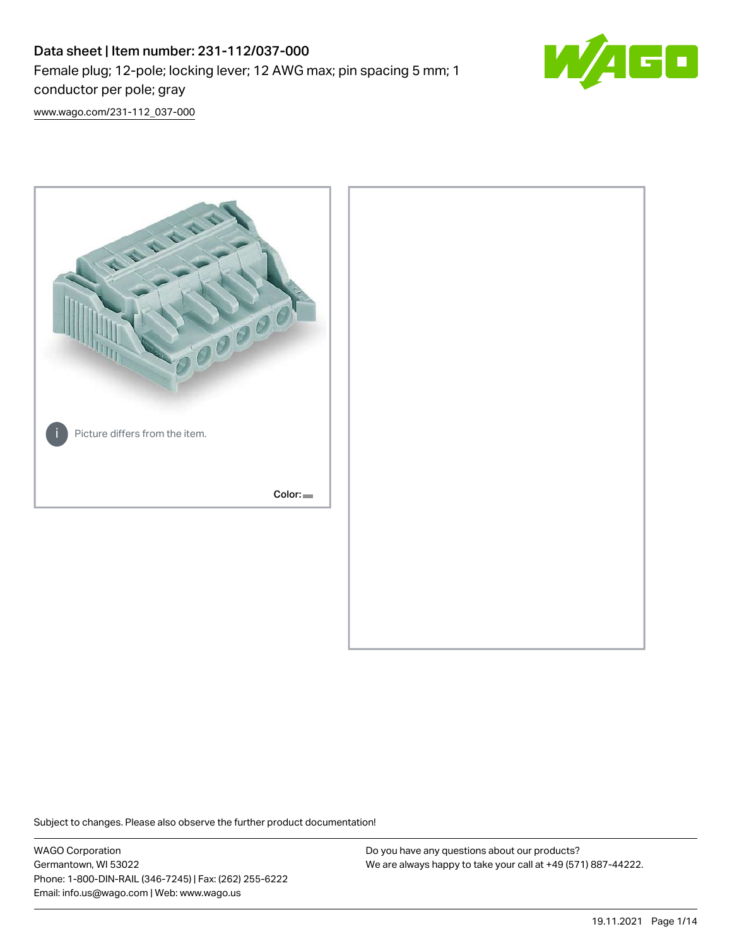# Data sheet | Item number: 231-112/037-000 Female plug; 12-pole; locking lever; 12 AWG max; pin spacing 5 mm; 1 conductor per pole; gray



[www.wago.com/231-112\\_037-000](http://www.wago.com/231-112_037-000)



Subject to changes. Please also observe the further product documentation!

WAGO Corporation Germantown, WI 53022 Phone: 1-800-DIN-RAIL (346-7245) | Fax: (262) 255-6222 Email: info.us@wago.com | Web: www.wago.us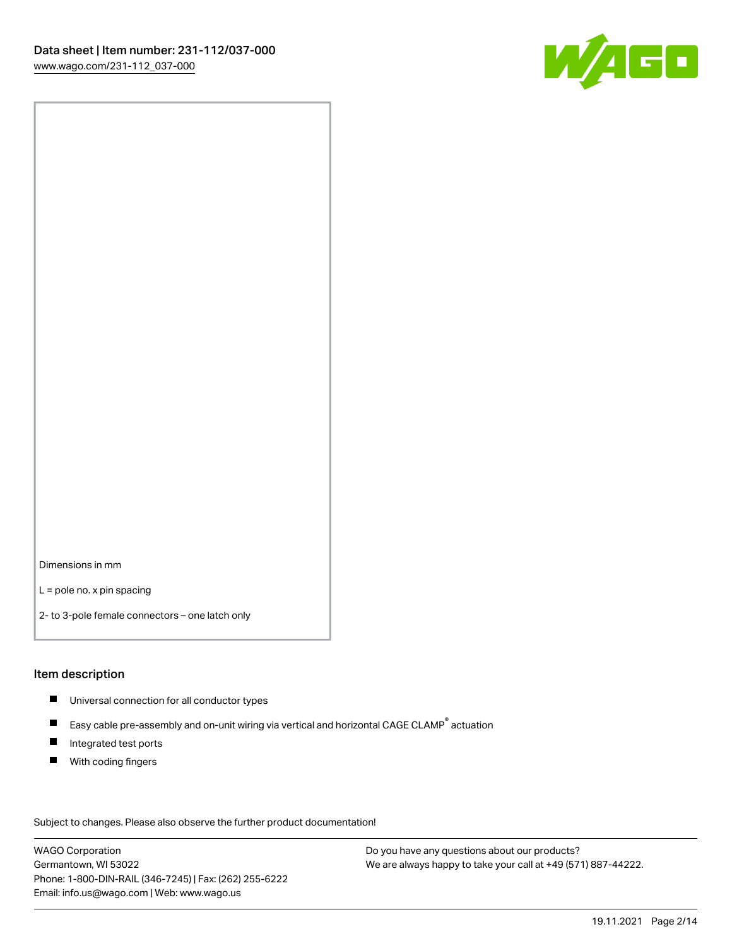

Dimensions in mm

L = pole no. x pin spacing

2- to 3-pole female connectors – one latch only

#### Item description

- **Universal connection for all conductor types**
- Easy cable pre-assembly and on-unit wiring via vertical and horizontal CAGE CLAMP<sup>®</sup> actuation  $\blacksquare$
- $\blacksquare$ Integrated test ports
- $\blacksquare$ With coding fingers

Subject to changes. Please also observe the further product documentation! Data

WAGO Corporation Germantown, WI 53022 Phone: 1-800-DIN-RAIL (346-7245) | Fax: (262) 255-6222 Email: info.us@wago.com | Web: www.wago.us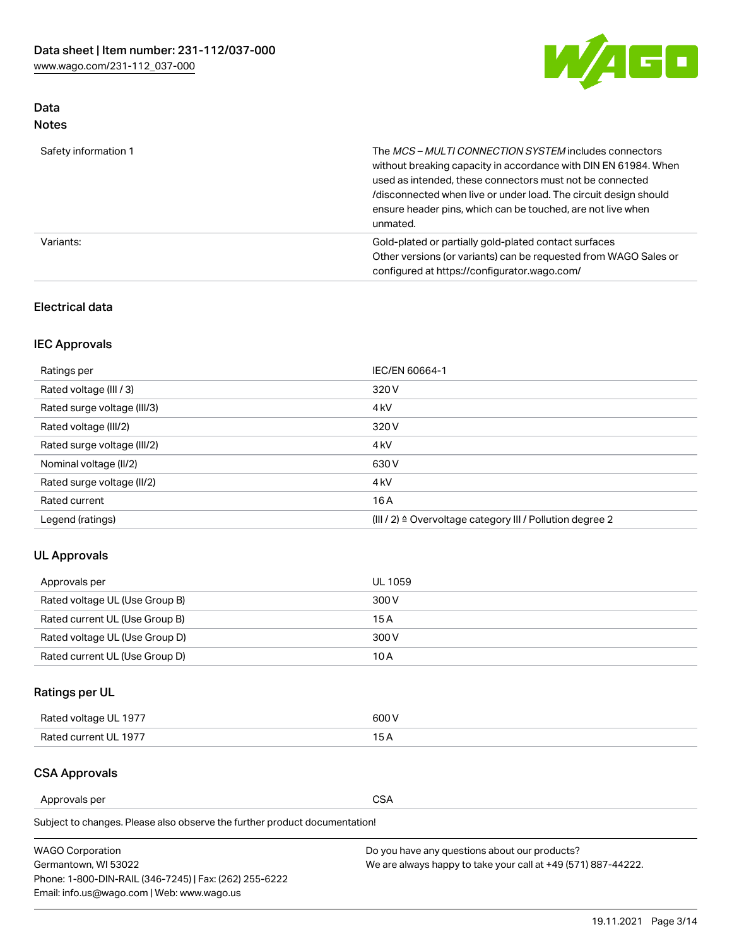

# Data Notes

| Safety information 1 | The <i>MCS – MULTI CONNECTION SYSTEM</i> includes connectors<br>without breaking capacity in accordance with DIN EN 61984. When<br>used as intended, these connectors must not be connected<br>/disconnected when live or under load. The circuit design should<br>ensure header pins, which can be touched, are not live when<br>unmated. |
|----------------------|--------------------------------------------------------------------------------------------------------------------------------------------------------------------------------------------------------------------------------------------------------------------------------------------------------------------------------------------|
| Variants:            | Gold-plated or partially gold-plated contact surfaces<br>Other versions (or variants) can be requested from WAGO Sales or<br>configured at https://configurator.wago.com/                                                                                                                                                                  |

# Electrical data

# IEC Approvals

| Ratings per                 | IEC/EN 60664-1                                                        |
|-----------------------------|-----------------------------------------------------------------------|
| Rated voltage (III / 3)     | 320 V                                                                 |
| Rated surge voltage (III/3) | 4 <sub>k</sub> V                                                      |
| Rated voltage (III/2)       | 320 V                                                                 |
| Rated surge voltage (III/2) | 4 <sub>k</sub> V                                                      |
| Nominal voltage (II/2)      | 630 V                                                                 |
| Rated surge voltage (II/2)  | 4 <sub>k</sub> V                                                      |
| Rated current               | 16A                                                                   |
| Legend (ratings)            | $(III / 2)$ $\triangle$ Overvoltage category III / Pollution degree 2 |

# UL Approvals

| Approvals per                  | UL 1059 |
|--------------------------------|---------|
| Rated voltage UL (Use Group B) | 300 V   |
| Rated current UL (Use Group B) | 15 A    |
| Rated voltage UL (Use Group D) | 300 V   |
| Rated current UL (Use Group D) | 10 A    |

# Ratings per UL

| Rated voltage UL 1977 | 600 V         |
|-----------------------|---------------|
| Rated current UL 1977 | $\sim$ $\sim$ |

# CSA Approvals

Approvals per CSA

Subject to changes. Please also observe the further product documentation!

| <b>WAGO Corporation</b>                                | Do you have any questions about our products?                 |
|--------------------------------------------------------|---------------------------------------------------------------|
| Germantown, WI 53022                                   | We are always happy to take your call at +49 (571) 887-44222. |
| Phone: 1-800-DIN-RAIL (346-7245)   Fax: (262) 255-6222 |                                                               |
| Email: info.us@wago.com   Web: www.wago.us             |                                                               |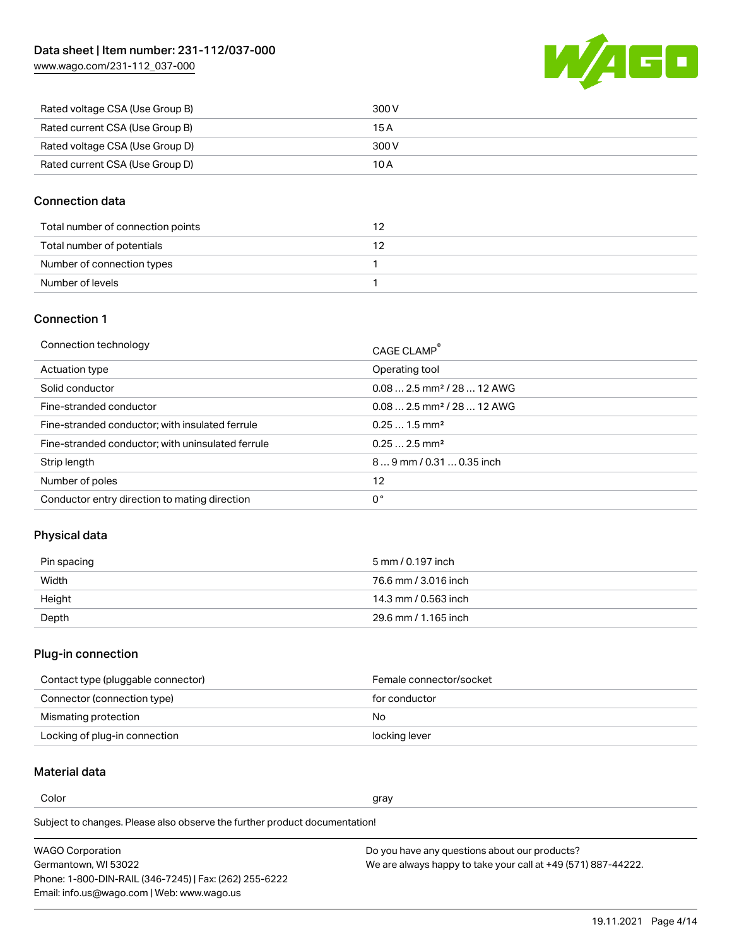WAEC

| Rated voltage CSA (Use Group B) | 300 V |
|---------------------------------|-------|
| Rated current CSA (Use Group B) | 15 A  |
| Rated voltage CSA (Use Group D) | 300 V |
| Rated current CSA (Use Group D) | 10 A  |

# Connection data

| Total number of connection points |  |
|-----------------------------------|--|
| Total number of potentials        |  |
| Number of connection types        |  |
| Number of levels                  |  |

### Connection 1

| Operating tool<br>Actuation type<br>$0.082.5$ mm <sup>2</sup> / 28  12 AWG<br>Solid conductor<br>$0.082.5$ mm <sup>2</sup> / 28  12 AWG<br>Fine-stranded conductor<br>$0.251.5$ mm <sup>2</sup><br>Fine-stranded conductor; with insulated ferrule<br>$0.252.5$ mm <sup>2</sup><br>Fine-stranded conductor; with uninsulated ferrule<br>Strip length<br>$89$ mm $/$ 0.31  0.35 inch<br>Number of poles<br>12<br>0°<br>Conductor entry direction to mating direction | Connection technology | CAGE CLAMP <sup>®</sup> |
|---------------------------------------------------------------------------------------------------------------------------------------------------------------------------------------------------------------------------------------------------------------------------------------------------------------------------------------------------------------------------------------------------------------------------------------------------------------------|-----------------------|-------------------------|
|                                                                                                                                                                                                                                                                                                                                                                                                                                                                     |                       |                         |
|                                                                                                                                                                                                                                                                                                                                                                                                                                                                     |                       |                         |
|                                                                                                                                                                                                                                                                                                                                                                                                                                                                     |                       |                         |
|                                                                                                                                                                                                                                                                                                                                                                                                                                                                     |                       |                         |
|                                                                                                                                                                                                                                                                                                                                                                                                                                                                     |                       |                         |
|                                                                                                                                                                                                                                                                                                                                                                                                                                                                     |                       |                         |
|                                                                                                                                                                                                                                                                                                                                                                                                                                                                     |                       |                         |
|                                                                                                                                                                                                                                                                                                                                                                                                                                                                     |                       |                         |

# Physical data

| Pin spacing | 5 mm / 0.197 inch    |
|-------------|----------------------|
| Width       | 76.6 mm / 3.016 inch |
| Height      | 14.3 mm / 0.563 inch |
| Depth       | 29.6 mm / 1.165 inch |

### Plug-in connection

| Contact type (pluggable connector) | Female connector/socket |
|------------------------------------|-------------------------|
| Connector (connection type)        | for conductor           |
| Mismating protection               | No.                     |
| Locking of plug-in connection      | locking lever           |

# Material data

Color and the color of the color of the color of the color of the color of the color of the color of the color

Subject to changes. Please also observe the further product documentation! Material group I

| <b>WAGO Corporation</b>                                | Do you have any questions about our products?                 |
|--------------------------------------------------------|---------------------------------------------------------------|
| Germantown, WI 53022                                   | We are always happy to take your call at +49 (571) 887-44222. |
| Phone: 1-800-DIN-RAIL (346-7245)   Fax: (262) 255-6222 |                                                               |
| Email: info.us@wago.com   Web: www.wago.us             |                                                               |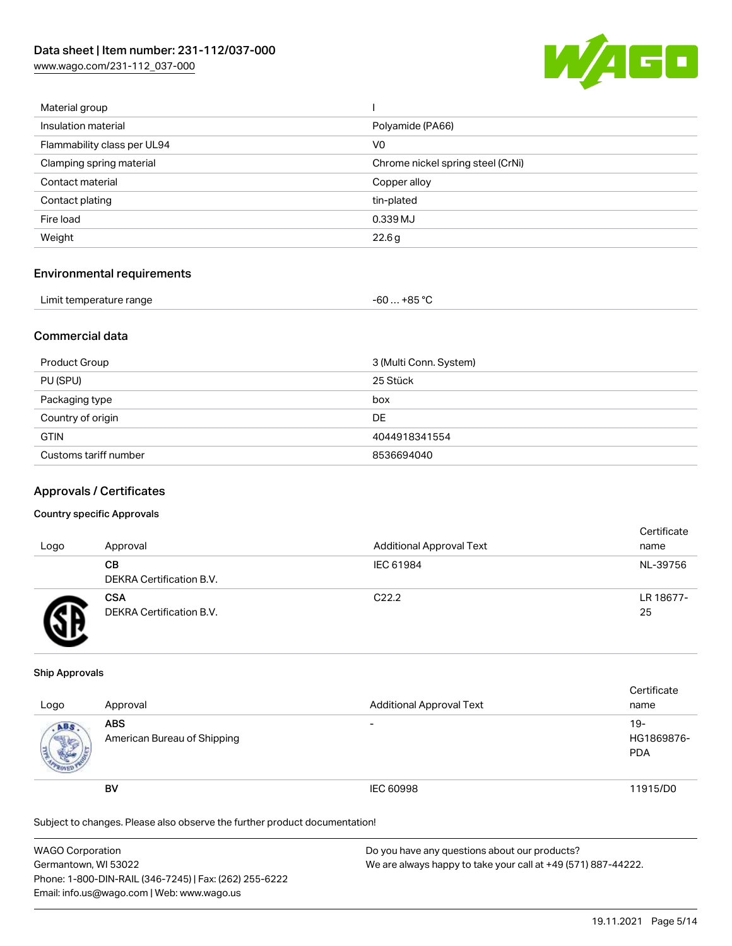[www.wago.com/231-112\\_037-000](http://www.wago.com/231-112_037-000)



| Material group              |                                   |
|-----------------------------|-----------------------------------|
| Insulation material         | Polyamide (PA66)                  |
| Flammability class per UL94 | V <sub>0</sub>                    |
| Clamping spring material    | Chrome nickel spring steel (CrNi) |
| Contact material            | Copper alloy                      |
| Contact plating             | tin-plated                        |
| Fire load                   | 0.339 MJ                          |
| Weight                      | 22.6g                             |
|                             |                                   |

#### Environmental requirements

| Limit temperature range | $-60+85 °C$ |  |
|-------------------------|-------------|--|
|-------------------------|-------------|--|

# Commercial data

| Product Group         | 3 (Multi Conn. System) |
|-----------------------|------------------------|
| PU (SPU)              | 25 Stück               |
| Packaging type        | box                    |
| Country of origin     | DE                     |
| <b>GTIN</b>           | 4044918341554          |
| Customs tariff number | 8536694040             |

#### Approvals / Certificates

#### Country specific Approvals

| Logo | Approval                               | <b>Additional Approval Text</b> | Certificate<br>name |
|------|----------------------------------------|---------------------------------|---------------------|
|      | CВ<br>DEKRA Certification B.V.         | IEC 61984                       | NL-39756            |
|      | <b>CSA</b><br>DEKRA Certification B.V. | C <sub>22.2</sub>               | LR 18677-<br>25     |

#### Ship Approvals

| Logo | Approval                                  | <b>Additional Approval Text</b> | Certificate<br>name                |
|------|-------------------------------------------|---------------------------------|------------------------------------|
| ABS  | <b>ABS</b><br>American Bureau of Shipping | $\overline{\phantom{0}}$        | $19 -$<br>HG1869876-<br><b>PDA</b> |
|      | <b>BV</b>                                 | IEC 60998                       | 11915/D0                           |

Subject to changes. Please also observe the further product documentation!

| <b>WAGO Corporation</b>                                | Do you have any questions about our products?                 |
|--------------------------------------------------------|---------------------------------------------------------------|
| Germantown, WI 53022                                   | We are always happy to take your call at +49 (571) 887-44222. |
| Phone: 1-800-DIN-RAIL (346-7245)   Fax: (262) 255-6222 |                                                               |
| Email: info.us@wago.com   Web: www.wago.us             |                                                               |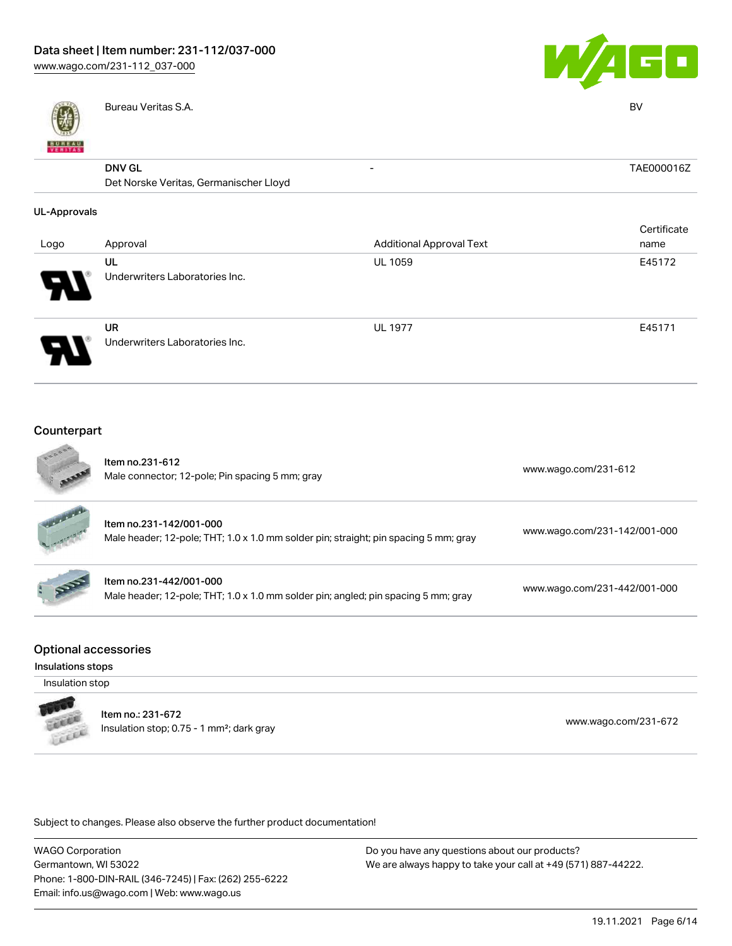

Bureau Veritas S.A. BV



| 兩<br><b>BUREAU</b><br>VERITAS |                                        |                                 |             |
|-------------------------------|----------------------------------------|---------------------------------|-------------|
|                               | <b>DNV GL</b>                          | $\overline{\phantom{a}}$        | TAE000016Z  |
|                               | Det Norske Veritas, Germanischer Lloyd |                                 |             |
| <b>UL-Approvals</b>           |                                        |                                 |             |
|                               |                                        |                                 | Certificate |
| Logo                          | Approval                               | <b>Additional Approval Text</b> | name        |
|                               | UL                                     | <b>UL 1059</b>                  | E45172      |
|                               | Underwriters Laboratories Inc.         |                                 |             |
|                               | <b>UR</b>                              | <b>UL 1977</b>                  | E45171      |
|                               | Underwriters Laboratories Inc.         |                                 |             |

# Counterpart

| ESOSSE                                                              | Item no.231-612<br>Male connector; 12-pole; Pin spacing 5 mm; gray                                              | www.wago.com/231-612         |
|---------------------------------------------------------------------|-----------------------------------------------------------------------------------------------------------------|------------------------------|
| <b>HELEN</b>                                                        | Item no.231-142/001-000<br>Male header; 12-pole; THT; 1.0 x 1.0 mm solder pin; straight; pin spacing 5 mm; gray | www.wago.com/231-142/001-000 |
|                                                                     | Item no.231-442/001-000<br>Male header; 12-pole; THT; 1.0 x 1.0 mm solder pin; angled; pin spacing 5 mm; gray   | www.wago.com/231-442/001-000 |
| <b>Optional accessories</b><br>Insulations stops<br>Insulation stop |                                                                                                                 |                              |
|                                                                     |                                                                                                                 |                              |



Item no.: 231-672 Item IIo... 231-072<br>Insulation stop; 0.75 - 1 mm²; dark gray [www.wago.com/231-672](http://www.wago.com/231-672)

Subject to changes. Please also observe the further product documentation!

WAGO Corporation Germantown, WI 53022 Phone: 1-800-DIN-RAIL (346-7245) | Fax: (262) 255-6222 Email: info.us@wago.com | Web: www.wago.us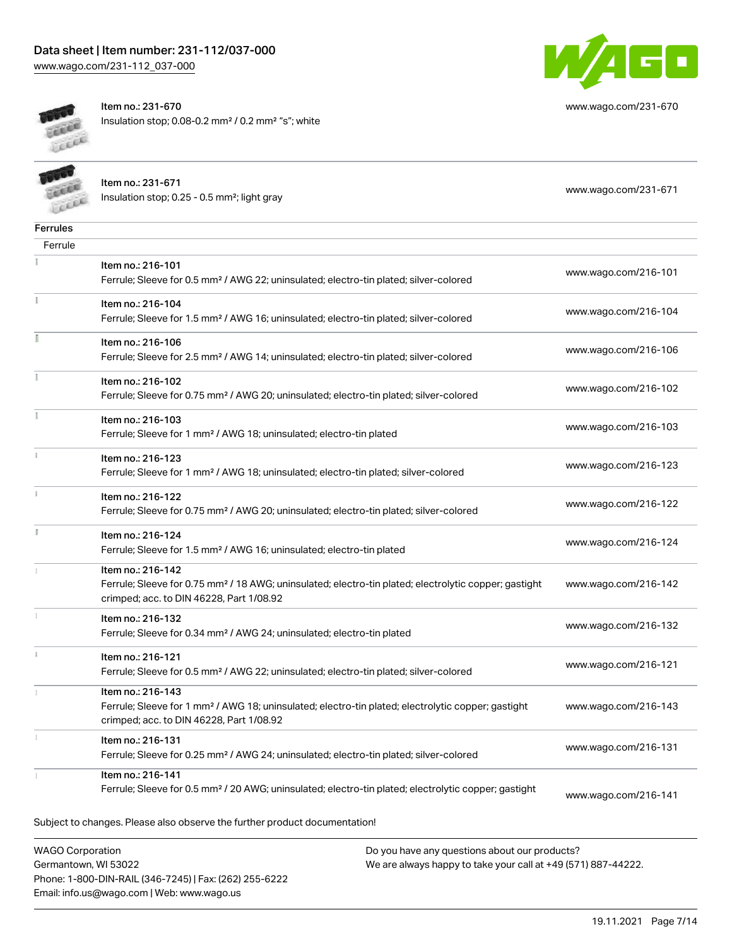Email: info.us@wago.com | Web: www.wago.us



[www.wago.com/231-670](http://www.wago.com/231-670)



 $\rightarrow$ 

Item no.: 231-670 Insulation stop; 0.08-0.2 mm² / 0.2 mm² "s"; white

| FEEL                                            | Item no.: 231-671<br>Insulation stop; 0.25 - 0.5 mm <sup>2</sup> ; light gray                                                                                                      |                                                                                                                | www.wago.com/231-671 |
|-------------------------------------------------|------------------------------------------------------------------------------------------------------------------------------------------------------------------------------------|----------------------------------------------------------------------------------------------------------------|----------------------|
| Ferrules                                        |                                                                                                                                                                                    |                                                                                                                |                      |
| Ferrule                                         |                                                                                                                                                                                    |                                                                                                                |                      |
|                                                 | Item no.: 216-101<br>Ferrule; Sleeve for 0.5 mm <sup>2</sup> / AWG 22; uninsulated; electro-tin plated; silver-colored                                                             |                                                                                                                | www.wago.com/216-101 |
|                                                 | Item no.: 216-104<br>Ferrule; Sleeve for 1.5 mm <sup>2</sup> / AWG 16; uninsulated; electro-tin plated; silver-colored                                                             |                                                                                                                | www.wago.com/216-104 |
|                                                 | Item no.: 216-106<br>Ferrule; Sleeve for 2.5 mm <sup>2</sup> / AWG 14; uninsulated; electro-tin plated; silver-colored                                                             |                                                                                                                | www.wago.com/216-106 |
|                                                 | Item no.: 216-102<br>Ferrule; Sleeve for 0.75 mm <sup>2</sup> / AWG 20; uninsulated; electro-tin plated; silver-colored                                                            |                                                                                                                | www.wago.com/216-102 |
|                                                 | Item no.: 216-103<br>Ferrule; Sleeve for 1 mm <sup>2</sup> / AWG 18; uninsulated; electro-tin plated                                                                               |                                                                                                                | www.wago.com/216-103 |
|                                                 | Item no.: 216-123<br>Ferrule; Sleeve for 1 mm <sup>2</sup> / AWG 18; uninsulated; electro-tin plated; silver-colored                                                               |                                                                                                                | www.wago.com/216-123 |
|                                                 | Item no.: 216-122<br>Ferrule; Sleeve for 0.75 mm <sup>2</sup> / AWG 20; uninsulated; electro-tin plated; silver-colored                                                            |                                                                                                                | www.wago.com/216-122 |
| I.                                              | Item no.: 216-124<br>Ferrule; Sleeve for 1.5 mm <sup>2</sup> / AWG 16; uninsulated; electro-tin plated                                                                             |                                                                                                                | www.wago.com/216-124 |
|                                                 | Item no.: 216-142<br>Ferrule; Sleeve for 0.75 mm <sup>2</sup> / 18 AWG; uninsulated; electro-tin plated; electrolytic copper; gastight<br>crimped; acc. to DIN 46228, Part 1/08.92 |                                                                                                                | www.wago.com/216-142 |
|                                                 | Item no.: 216-132<br>Ferrule; Sleeve for 0.34 mm <sup>2</sup> / AWG 24; uninsulated; electro-tin plated                                                                            |                                                                                                                | www.wago.com/216-132 |
|                                                 | Item no.: 216-121<br>Ferrule; Sleeve for 0.5 mm <sup>2</sup> / AWG 22; uninsulated; electro-tin plated; silver-colored                                                             |                                                                                                                | www.wago.com/216-121 |
|                                                 | Item no.: 216-143<br>Ferrule; Sleeve for 1 mm <sup>2</sup> / AWG 18; uninsulated; electro-tin plated; electrolytic copper; gastight<br>crimped; acc. to DIN 46228, Part 1/08.92    |                                                                                                                | www.wago.com/216-143 |
|                                                 | Item no.: 216-131<br>Ferrule; Sleeve for 0.25 mm <sup>2</sup> / AWG 24; uninsulated; electro-tin plated; silver-colored                                                            |                                                                                                                | www.wago.com/216-131 |
|                                                 | Item no.: 216-141<br>Ferrule; Sleeve for 0.5 mm <sup>2</sup> / 20 AWG; uninsulated; electro-tin plated; electrolytic copper; gastight                                              |                                                                                                                | www.wago.com/216-141 |
|                                                 | Subject to changes. Please also observe the further product documentation!                                                                                                         |                                                                                                                |                      |
| <b>WAGO Corporation</b><br>Germantown, WI 53022 | Phone: 1-800-DIN-RAIL (346-7245)   Fax: (262) 255-6222                                                                                                                             | Do you have any questions about our products?<br>We are always happy to take your call at +49 (571) 887-44222. |                      |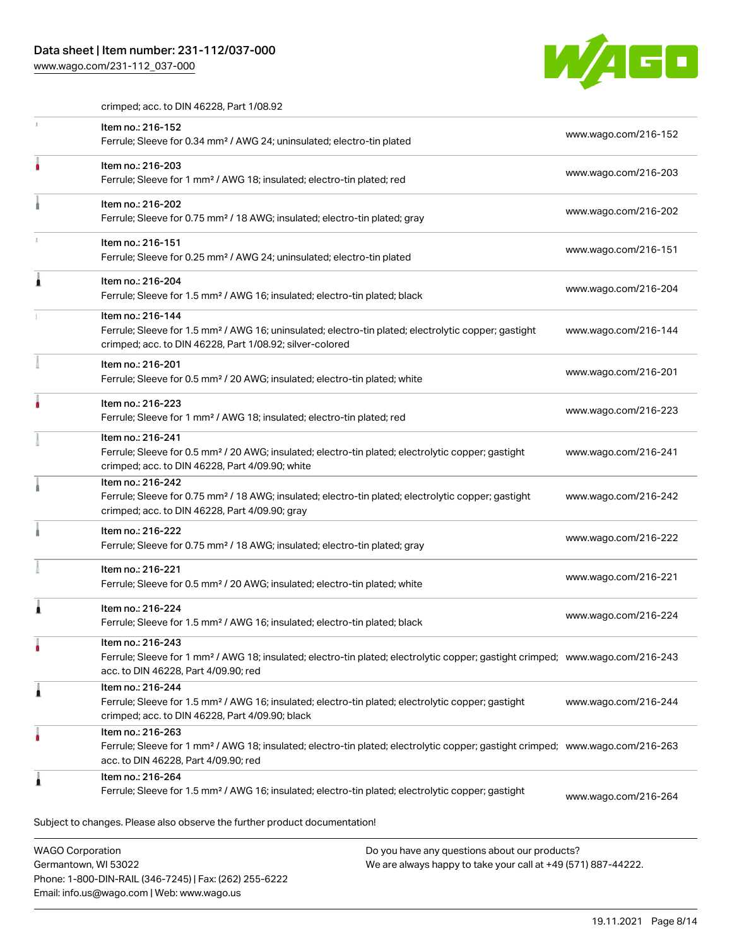# Data sheet | Item number: 231-112/037-000

Phone: 1-800-DIN-RAIL (346-7245) | Fax: (262) 255-6222

Email: info.us@wago.com | Web: www.wago.us

[www.wago.com/231-112\\_037-000](http://www.wago.com/231-112_037-000)



crimped; acc. to DIN 46228, Part 1/08.92

| Item no.: 216-152<br>Ferrule; Sleeve for 0.34 mm <sup>2</sup> / AWG 24; uninsulated; electro-tin plated                                                                                                 |                                                                                                                | www.wago.com/216-152 |
|---------------------------------------------------------------------------------------------------------------------------------------------------------------------------------------------------------|----------------------------------------------------------------------------------------------------------------|----------------------|
| Item no.: 216-203<br>Ferrule; Sleeve for 1 mm <sup>2</sup> / AWG 18; insulated; electro-tin plated; red                                                                                                 |                                                                                                                | www.wago.com/216-203 |
| Item no.: 216-202<br>Ferrule; Sleeve for 0.75 mm <sup>2</sup> / 18 AWG; insulated; electro-tin plated; gray                                                                                             |                                                                                                                | www.wago.com/216-202 |
| Item no.: 216-151<br>Ferrule; Sleeve for 0.25 mm <sup>2</sup> / AWG 24; uninsulated; electro-tin plated                                                                                                 |                                                                                                                | www.wago.com/216-151 |
| Item no.: 216-204<br>Ferrule; Sleeve for 1.5 mm <sup>2</sup> / AWG 16; insulated; electro-tin plated; black                                                                                             |                                                                                                                | www.wago.com/216-204 |
| Item no.: 216-144<br>Ferrule; Sleeve for 1.5 mm <sup>2</sup> / AWG 16; uninsulated; electro-tin plated; electrolytic copper; gastight<br>crimped; acc. to DIN 46228, Part 1/08.92; silver-colored       |                                                                                                                | www.wago.com/216-144 |
| Item no.: 216-201<br>Ferrule; Sleeve for 0.5 mm <sup>2</sup> / 20 AWG; insulated; electro-tin plated; white                                                                                             |                                                                                                                | www.wago.com/216-201 |
| Item no.: 216-223<br>Ferrule; Sleeve for 1 mm <sup>2</sup> / AWG 18; insulated; electro-tin plated; red                                                                                                 |                                                                                                                | www.wago.com/216-223 |
| Item no.: 216-241<br>Ferrule; Sleeve for 0.5 mm <sup>2</sup> / 20 AWG; insulated; electro-tin plated; electrolytic copper; gastight<br>crimped; acc. to DIN 46228, Part 4/09.90; white                  |                                                                                                                | www.wago.com/216-241 |
| Item no.: 216-242<br>Ferrule; Sleeve for 0.75 mm <sup>2</sup> / 18 AWG; insulated; electro-tin plated; electrolytic copper; gastight<br>crimped; acc. to DIN 46228, Part 4/09.90; gray                  |                                                                                                                | www.wago.com/216-242 |
| Item no.: 216-222<br>Ferrule; Sleeve for 0.75 mm <sup>2</sup> / 18 AWG; insulated; electro-tin plated; gray                                                                                             |                                                                                                                | www.wago.com/216-222 |
| Item no.: 216-221<br>Ferrule; Sleeve for 0.5 mm <sup>2</sup> / 20 AWG; insulated; electro-tin plated; white                                                                                             |                                                                                                                | www.wago.com/216-221 |
| Item no.: 216-224<br>Ferrule; Sleeve for 1.5 mm <sup>2</sup> / AWG 16; insulated; electro-tin plated; black                                                                                             |                                                                                                                | www.wago.com/216-224 |
| Item no.: 216-243<br>Ferrule; Sleeve for 1 mm <sup>2</sup> / AWG 18; insulated; electro-tin plated; electrolytic copper; gastight crimped; www.wago.com/216-243<br>acc. to DIN 46228, Part 4/09.90; red |                                                                                                                |                      |
| Item no.: 216-244<br>Ferrule; Sleeve for 1.5 mm <sup>2</sup> / AWG 16; insulated; electro-tin plated; electrolytic copper; gastight<br>crimped; acc. to DIN 46228, Part 4/09.90; black                  |                                                                                                                | www.wago.com/216-244 |
| Item no.: 216-263<br>Ferrule; Sleeve for 1 mm <sup>2</sup> / AWG 18; insulated; electro-tin plated; electrolytic copper; gastight crimped; www.wago.com/216-263<br>acc. to DIN 46228, Part 4/09.90; red |                                                                                                                |                      |
| Item no.: 216-264<br>Ferrule; Sleeve for 1.5 mm <sup>2</sup> / AWG 16; insulated; electro-tin plated; electrolytic copper; gastight                                                                     |                                                                                                                | www.wago.com/216-264 |
| Subject to changes. Please also observe the further product documentation!                                                                                                                              |                                                                                                                |                      |
| <b>WAGO Corporation</b><br>Germantown, WI 53022                                                                                                                                                         | Do you have any questions about our products?<br>We are always happy to take your call at +49 (571) 887-44222. |                      |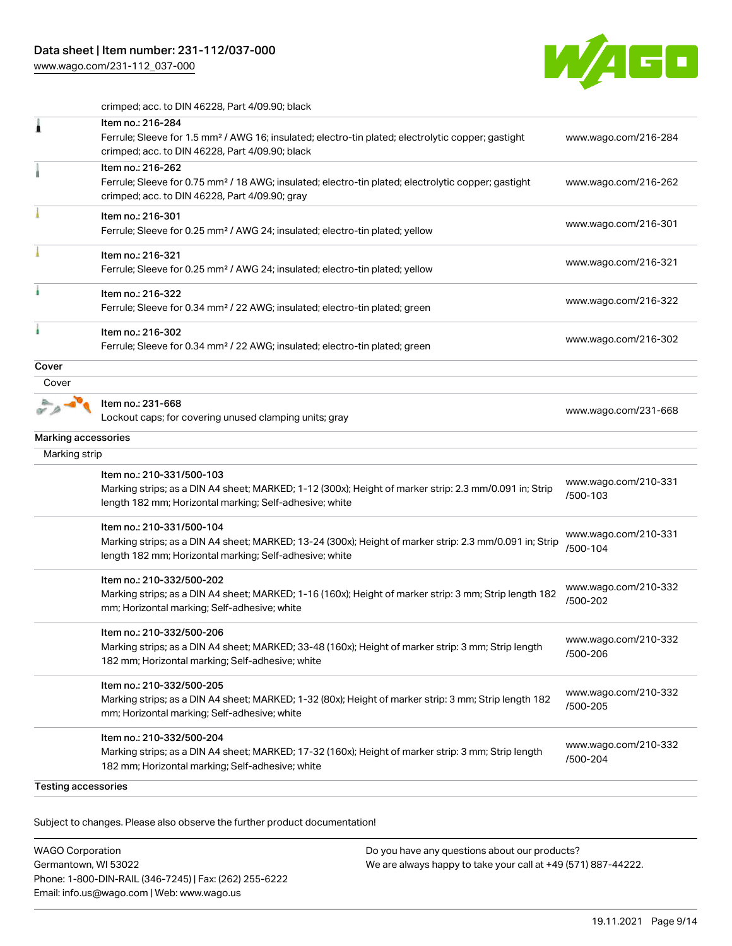[www.wago.com/231-112\\_037-000](http://www.wago.com/231-112_037-000)



crimped; acc. to DIN 46228, Part 4/09.90; black

|                     | Item no.: 216-284<br>Ferrule; Sleeve for 1.5 mm <sup>2</sup> / AWG 16; insulated; electro-tin plated; electrolytic copper; gastight<br>crimped; acc. to DIN 46228, Part 4/09.90; black          | www.wago.com/216-284             |
|---------------------|-------------------------------------------------------------------------------------------------------------------------------------------------------------------------------------------------|----------------------------------|
|                     | Item no.: 216-262<br>Ferrule; Sleeve for 0.75 mm <sup>2</sup> / 18 AWG; insulated; electro-tin plated; electrolytic copper; gastight<br>crimped; acc. to DIN 46228, Part 4/09.90; gray          | www.wago.com/216-262             |
|                     | Item no.: 216-301<br>Ferrule; Sleeve for 0.25 mm <sup>2</sup> / AWG 24; insulated; electro-tin plated; yellow                                                                                   | www.wago.com/216-301             |
|                     | Item no.: 216-321<br>Ferrule; Sleeve for 0.25 mm <sup>2</sup> / AWG 24; insulated; electro-tin plated; yellow                                                                                   | www.wago.com/216-321             |
|                     | Item no.: 216-322<br>Ferrule; Sleeve for 0.34 mm <sup>2</sup> / 22 AWG; insulated; electro-tin plated; green                                                                                    | www.wago.com/216-322             |
| ł                   | Item no.: 216-302<br>Ferrule; Sleeve for 0.34 mm <sup>2</sup> / 22 AWG; insulated; electro-tin plated; green                                                                                    | www.wago.com/216-302             |
| Cover               |                                                                                                                                                                                                 |                                  |
| Cover               |                                                                                                                                                                                                 |                                  |
|                     | Item no.: 231-668<br>Lockout caps; for covering unused clamping units; gray                                                                                                                     | www.wago.com/231-668             |
| Marking accessories |                                                                                                                                                                                                 |                                  |
| Marking strip       |                                                                                                                                                                                                 |                                  |
|                     | Item no.: 210-331/500-103<br>Marking strips; as a DIN A4 sheet; MARKED; 1-12 (300x); Height of marker strip: 2.3 mm/0.091 in; Strip<br>length 182 mm; Horizontal marking; Self-adhesive; white  | www.wago.com/210-331<br>/500-103 |
|                     | Item no.: 210-331/500-104<br>Marking strips; as a DIN A4 sheet; MARKED; 13-24 (300x); Height of marker strip: 2.3 mm/0.091 in; Strip<br>length 182 mm; Horizontal marking; Self-adhesive; white | www.wago.com/210-331<br>/500-104 |
|                     | Item no.: 210-332/500-202<br>Marking strips; as a DIN A4 sheet; MARKED; 1-16 (160x); Height of marker strip: 3 mm; Strip length 182<br>mm; Horizontal marking; Self-adhesive; white             | www.wago.com/210-332<br>/500-202 |
|                     |                                                                                                                                                                                                 |                                  |
|                     | Item no.: 210-332/500-206<br>Marking strips; as a DIN A4 sheet; MARKED; 33-48 (160x); Height of marker strip: 3 mm; Strip length<br>182 mm; Horizontal marking; Self-adhesive; white            | www.wago.com/210-332<br>/500-206 |
|                     | Item no.: 210-332/500-205<br>Marking strips; as a DIN A4 sheet; MARKED; 1-32 (80x); Height of marker strip: 3 mm; Strip length 182<br>mm; Horizontal marking; Self-adhesive; white              | www.wago.com/210-332<br>/500-205 |

Subject to changes. Please also observe the further product documentation!

WAGO Corporation Germantown, WI 53022 Phone: 1-800-DIN-RAIL (346-7245) | Fax: (262) 255-6222 Email: info.us@wago.com | Web: www.wago.us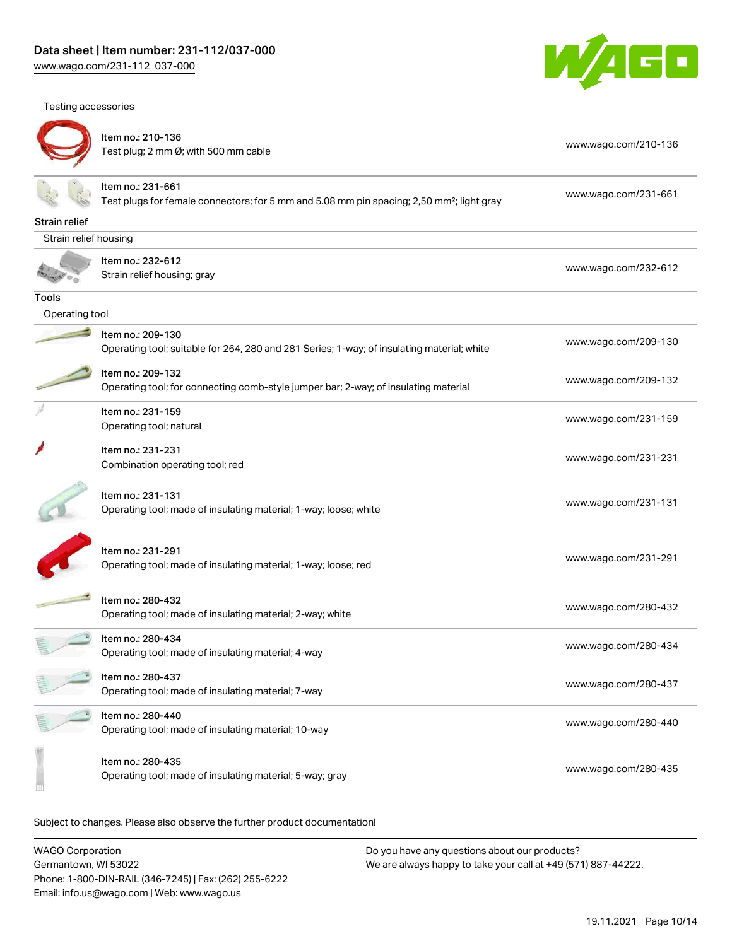[www.wago.com/231-112\\_037-000](http://www.wago.com/231-112_037-000)





|                       | Item no.: 210-136<br>Test plug; 2 mm Ø; with 500 mm cable                                                                  | www.wago.com/210-136 |
|-----------------------|----------------------------------------------------------------------------------------------------------------------------|----------------------|
|                       | Item no.: 231-661<br>Test plugs for female connectors; for 5 mm and 5.08 mm pin spacing; 2,50 mm <sup>2</sup> ; light gray | www.wago.com/231-661 |
| Strain relief         |                                                                                                                            |                      |
| Strain relief housing |                                                                                                                            |                      |
|                       | Item no.: 232-612<br>Strain relief housing; gray                                                                           | www.wago.com/232-612 |
| Tools                 |                                                                                                                            |                      |
| Operating tool        |                                                                                                                            |                      |
|                       | Item no.: 209-130<br>Operating tool; suitable for 264, 280 and 281 Series; 1-way; of insulating material; white            | www.wago.com/209-130 |
|                       | Item no.: 209-132<br>Operating tool; for connecting comb-style jumper bar; 2-way; of insulating material                   | www.wago.com/209-132 |
|                       | Item no.: 231-159<br>Operating tool; natural                                                                               | www.wago.com/231-159 |
|                       | Item no.: 231-231<br>Combination operating tool; red                                                                       | www.wago.com/231-231 |
|                       | Item no.: 231-131<br>Operating tool; made of insulating material; 1-way; loose; white                                      | www.wago.com/231-131 |
|                       | Item no.: 231-291<br>Operating tool; made of insulating material; 1-way; loose; red                                        | www.wago.com/231-291 |
|                       | Item no.: 280-432<br>Operating tool; made of insulating material; 2-way; white                                             | www.wago.com/280-432 |
|                       | Item no.: 280-434<br>Operating tool; made of insulating material; 4-way                                                    | www.wago.com/280-434 |
|                       | Item no.: 280-437<br>Operating tool; made of insulating material; 7-way                                                    | www.wago.com/280-437 |
|                       | Item no.: 280-440<br>Operating tool; made of insulating material; 10-way                                                   | www.wago.com/280-440 |
|                       | Item no.: 280-435<br>Operating tool; made of insulating material; 5-way; gray                                              | www.wago.com/280-435 |

Subject to changes. Please also observe the further product documentation!

WAGO Corporation Germantown, WI 53022 Phone: 1-800-DIN-RAIL (346-7245) | Fax: (262) 255-6222 Email: info.us@wago.com | Web: www.wago.us Do you have any questions about our products? We are always happy to take your call at +49 (571) 887-44222.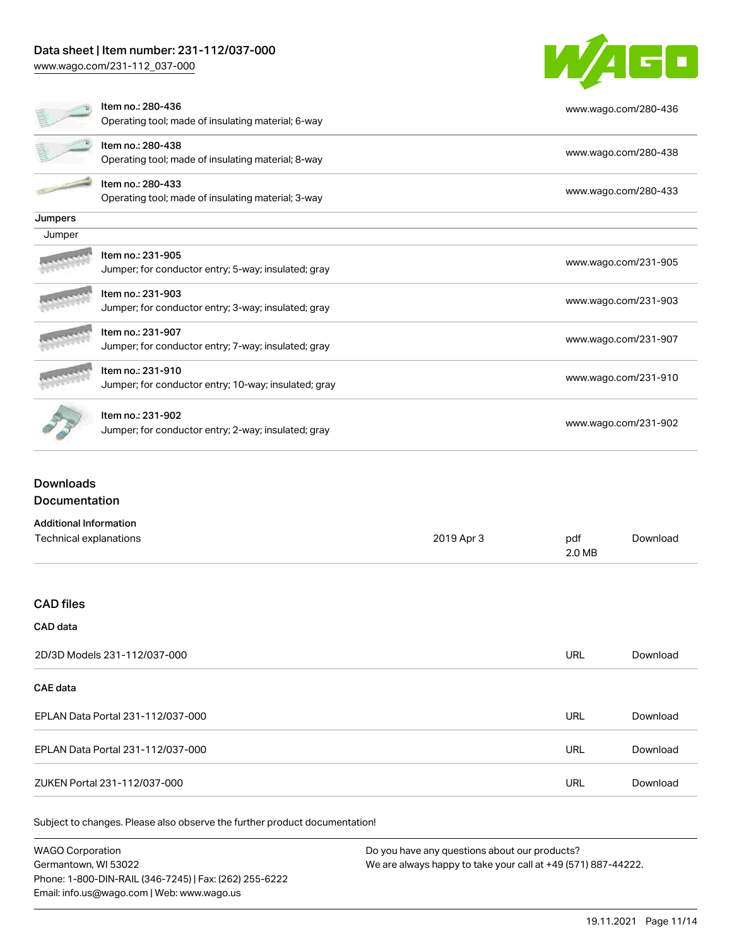# Data sheet | Item number: 231-112/037-000

[www.wago.com/231-112\\_037-000](http://www.wago.com/231-112_037-000)



|         | Item no.: 280-436                                    | www.wago.com/280-436 |
|---------|------------------------------------------------------|----------------------|
|         | Operating tool; made of insulating material; 6-way   |                      |
|         | Item no.: 280-438                                    |                      |
|         | Operating tool; made of insulating material; 8-way   | www.wago.com/280-438 |
|         | Item no.: 280-433                                    |                      |
|         | Operating tool; made of insulating material; 3-way   | www.wago.com/280-433 |
| Jumpers |                                                      |                      |
| Jumper  |                                                      |                      |
|         | Item no.: 231-905                                    | www.wago.com/231-905 |
|         | Jumper; for conductor entry; 5-way; insulated; gray  |                      |
|         | Item no.: 231-903                                    | www.wago.com/231-903 |
|         | Jumper; for conductor entry; 3-way; insulated; gray  |                      |
|         | Item no.: 231-907                                    |                      |
|         | Jumper; for conductor entry; 7-way; insulated; gray  | www.wago.com/231-907 |
|         | Item no.: 231-910                                    |                      |
|         | Jumper; for conductor entry; 10-way; insulated; gray | www.wago.com/231-910 |
|         | Item no.: 231-902                                    |                      |
|         | Jumper; for conductor entry; 2-way; insulated; gray  | www.wago.com/231-902 |
|         |                                                      |                      |

### Downloads Documentation

Additional Information

| Technical explanations            | 2019 Apr 3 | pdf        | Download |
|-----------------------------------|------------|------------|----------|
|                                   |            | 2.0 MB     |          |
|                                   |            |            |          |
| <b>CAD files</b>                  |            |            |          |
| CAD data                          |            |            |          |
| 2D/3D Models 231-112/037-000      |            | <b>URL</b> | Download |
| <b>CAE</b> data                   |            |            |          |
| EPLAN Data Portal 231-112/037-000 |            | <b>URL</b> | Download |
| EPLAN Data Portal 231-112/037-000 |            | <b>URL</b> | Download |
| ZUKEN Portal 231-112/037-000      |            | <b>URL</b> | Download |
|                                   |            |            |          |

Subject to changes. Please also observe the further product documentation!

WAGO Corporation Germantown, WI 53022 Phone: 1-800-DIN-RAIL (346-7245) | Fax: (262) 255-6222 Email: info.us@wago.com | Web: www.wago.us Do you have any questions about our products? We are always happy to take your call at +49 (571) 887-44222.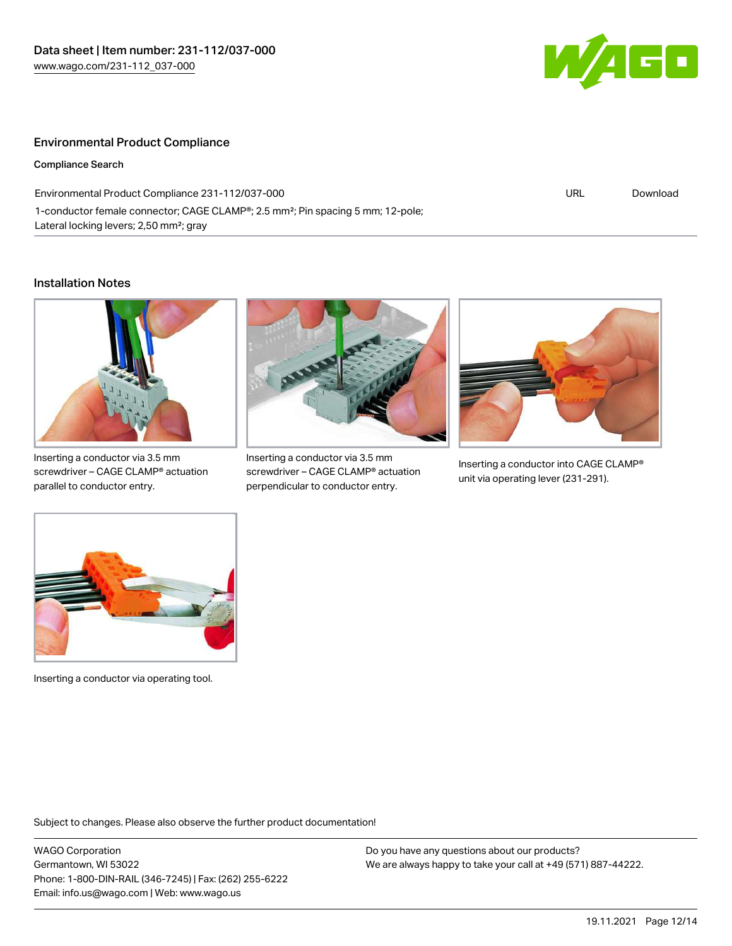

#### Environmental Product Compliance

Compliance Search

Environmental Product Compliance 231-112/037-000 1-conductor female connector; CAGE CLAMP®; 2.5 mm²; Pin spacing 5 mm; 12-pole; Lateral locking levers; 2,50 mm²; gray

URL [Download](https://www.wago.com/global/d/ComplianceLinkMediaContainer_231-112_037-000)

#### Installation Notes



Inserting a conductor via 3.5 mm screwdriver – CAGE CLAMP® actuation parallel to conductor entry.



Inserting a conductor via 3.5 mm screwdriver – CAGE CLAMP® actuation perpendicular to conductor entry.



Inserting a conductor into CAGE CLAMP® unit via operating lever (231-291).



Inserting a conductor via operating tool.

Subject to changes. Please also observe the further product documentation!

WAGO Corporation Germantown, WI 53022 Phone: 1-800-DIN-RAIL (346-7245) | Fax: (262) 255-6222 Email: info.us@wago.com | Web: www.wago.us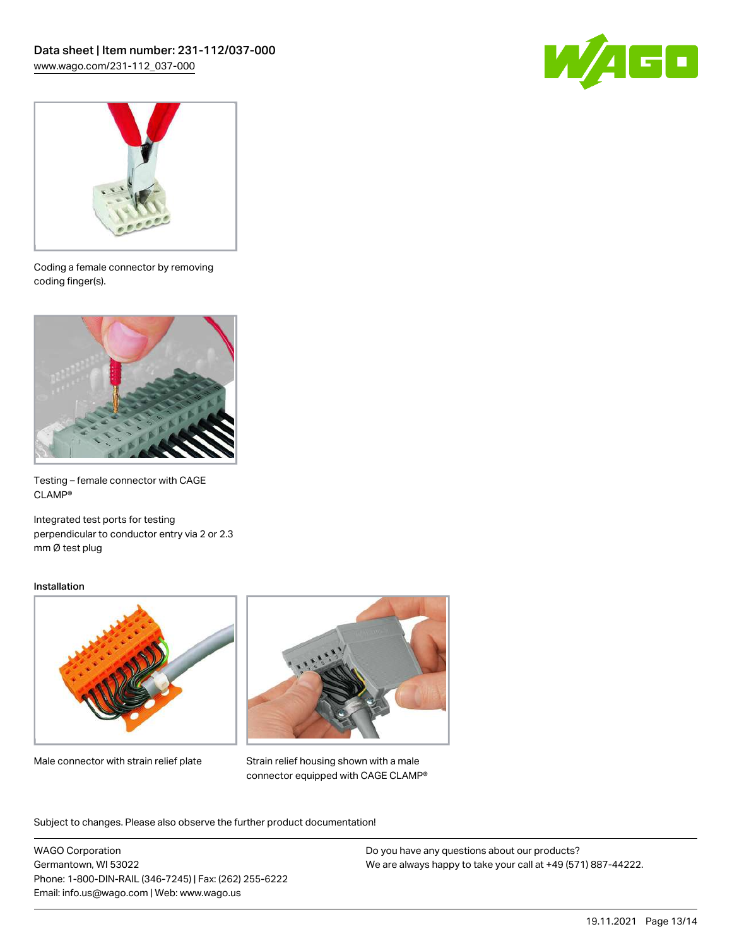



Coding a female connector by removing coding finger(s).



Testing – female connector with CAGE CLAMP®

Integrated test ports for testing perpendicular to conductor entry via 2 or 2.3 mm Ø test plug

#### Installation



Male connector with strain relief plate



Strain relief housing shown with a male connector equipped with CAGE CLAMP®

Subject to changes. Please also observe the further product documentation!

WAGO Corporation Germantown, WI 53022 Phone: 1-800-DIN-RAIL (346-7245) | Fax: (262) 255-6222 Email: info.us@wago.com | Web: www.wago.us